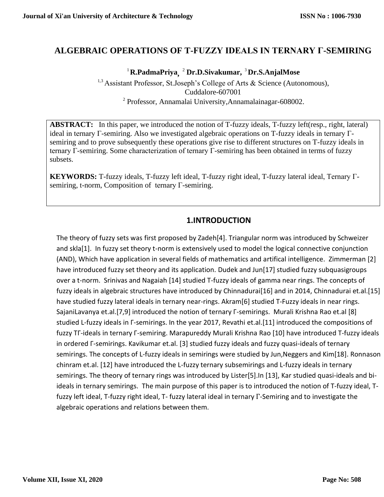# **ALGEBRAIC OPERATIONS OF T-FUZZY IDEALS IN TERNARY Г-SEMIRING**

1 **R.PadmaPriya,**  2 **Dr.D.Sivakumar,**  3 **Dr.S.AnjalMose**

<sup>1,3</sup> Assistant Professor, St.Joseph's College of Arts & Science (Autonomous), Cuddalore-607001 <sup>2</sup> Professor, Annamalai University, Annamalainagar-608002.

**ABSTRACT:** In this paper, we introduced the notion of T-fuzzy ideals, T-fuzzy left(resp., right, lateral) ideal in ternary Г-semiring. Also we investigated algebraic operations on T-fuzzy ideals in ternary Гsemiring and to prove subsequently these operations give rise to different structures on T-fuzzy ideals in ternary Г-semiring. Some characterization of ternary Г-semiring has been obtained in terms of fuzzy subsets.

**KEYWORDS:** T-fuzzy ideals, T-fuzzy left ideal, T-fuzzy right ideal, T-fuzzy lateral ideal, Ternary Гsemiring, t-norm, Composition of ternary Г-semiring.

# **1.INTRODUCTION**

The theory of fuzzy sets was first proposed by Zadeh[4]. Triangular norm was introduced by Schweizer and skla[1]. In fuzzy set theory t-norm is extensively used to model the logical connective conjunction (AND), Which have application in several fields of mathematics and artifical intelligence. Zimmerman [2] have introduced fuzzy set theory and its application. Dudek and Jun[17] studied fuzzy subquasigroups over a t-norm. Srinivas and Nagaiah [14] studied T-fuzzy ideals of gamma near rings. The concepts of fuzzy ideals in algebraic structures have introduced by Chinnadurai[16] and in 2014, Chinnadurai et.al.[15] have studied fuzzy lateral ideals in ternary near-rings. Akram[6] studied T-Fuzzy ideals in near rings. SajaniLavanya et.al.[7,9] introduced the notion of ternary Г-semirings. Murali Krishna Rao et.al [8] studied L-fuzzy ideals in Г-semirings. In the year 2017, Revathi et.al.[11] introduced the compositions of fuzzy TГ-ideals in ternary Г-semiring. Marapureddy Murali Krishna Rao [10] have introduced T-fuzzy ideals in ordered Г-semirings. Kavikumar et.al. [3] studied fuzzy ideals and fuzzy quasi-ideals of ternary semirings. The concepts of L-fuzzy ideals in semirings were studied by Jun, Neggers and Kim[18]. Ronnason chinram et.al. [12] have introduced the L-fuzzy ternary subsemirings and L-fuzzy ideals in ternary semirings. The theory of ternary rings was introduced by Lister[5].In [13], Kar studied quasi-ideals and biideals in ternary semirings. The main purpose of this paper is to introduced the notion of T-fuzzy ideal, Tfuzzy left ideal, T-fuzzy right ideal, T- fuzzy lateral ideal in ternary Г-Semiring and to investigate the algebraic operations and relations between them.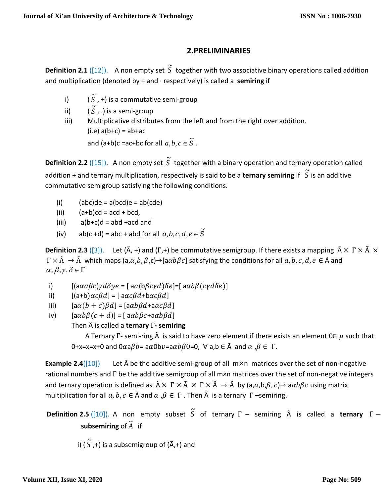### **2.PRELIMINARIES**

**Definition 2.1** ([12]). A non empty set  $\widetilde{S}$ together with two associative binary operations called addition and multiplication (denoted by + and · respectively) is called a **semiring** if

- $i)$  $\tilde{S}$ , +) is a commutative semi-group
- ii)  $\tilde{S}$ , .) is a semi-group
- iii) Multiplicative distributes from the left and from the right over addition.  $(i.e) a(b+c) = ab+ac$ and (a+b)c =ac+bc for all  $a,b,c \in \widetilde{S}$  .

**Definition 2.2** ([15]). A non empty set  $\widetilde{S}$ together with a binary operation and ternary operation called addition + and ternary multiplication, respectively is said to be a **ternary semiring** if  $\tilde{S}$ is an additive commutative semigroup satisfying the following conditions.

- (i)  $(abc)de = a(bcd)e = ab(cde)$
- (ii)  $(a+b)cd = acd + bcd$ ,
- (iii)  $a(b+c)d = abd + acd$  and
- (iv)  $ab(c+d) = abc + abd$  for all  $a,b,c,d,e \in \widetilde{S}$

**Definition 2.3** ([3]). Let ( $\tilde{A}$ , +) and ( $\Gamma$ ,+) be commutative semigroup. If there exists a mapping  $\tilde{A} \times \Gamma \times \tilde{A} \times \Gamma$  $\Gamma \times \tilde{A} \to \tilde{A}$  which maps  $(a,a,b,\beta,c) \to [a\alpha b\beta c]$  satisfying the conditions for all  $a, b, c, d, e \in \tilde{A}$  and  $\alpha, \beta, \gamma, \delta \in \Gamma$ 

- i)  $[(a\alpha a\beta c)\gamma d\delta ye = [a\alpha(b\beta c\gamma d)\delta e] = [a\alpha b\beta(c\gamma d\delta e)]$
- ii)  $[(a+b)\alpha c\beta d] = [\alpha \alpha c\beta d + b\alpha c\beta d]$
- iii)  $[a\alpha(b + c)\beta d] = [a\alpha b\beta d + a\alpha c\beta d]$
- iv)  $[a\alpha b\beta(c + d)] = [a\alpha b\beta c + a\alpha b\beta d]$

#### Then Ã is called a **ternary** Г**- semiring**

A Ternary  $\Gamma$ - semi-ring  $\tilde{A}$  is said to have zero element if there exists an element  $0\epsilon \mu$  such that  $0+ x=x+0$  and  $0\alpha a\beta b=a\alpha 0b\nu=a\alpha b\beta 0=0$ , ∀ a,b ∈  $\tilde{A}$  and  $\alpha, \beta \in \Gamma$ .

**Example 2.4**([10]) Let  $\tilde{A}$  be the additive semi-group of all m×n matrices over the set of non-negative rational numbers and Г be the additive semigroup of all m×n matrices over the set of non-negative integers and ternary operation is defined as  $\tilde{A} \times \Gamma \times \tilde{A} \times \Gamma \times \tilde{A} \to \tilde{A}$  by (a, $\alpha$ ,b, $\beta$ , c)  $\rightarrow$  a $\alpha b \beta c$  using matrix multiplication for all  $a, b, c \in \tilde{A}$  and  $\alpha, \beta \in \Gamma$ . Then  $\tilde{A}$  is a ternary  $\Gamma$ -semiring.

**Definition 2.5** ([10]). A non empty subset  $\tilde{S}$  of ternary Γ – semiring  $\tilde{A}$  is called a **ternary** Γ – subsemiring of  $\widetilde{A}$  if

i) ( $\widetilde{S}$ ,+) is a subsemigroup of (Ã,+) and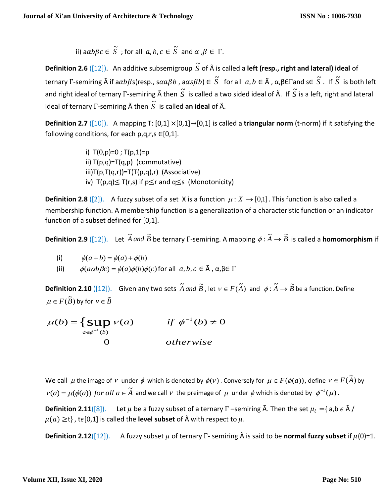ii) a $\alpha b \beta c \in \widetilde{S}$  ; for all  $a, b, c \in \widetilde{S}$  and  $\alpha$  , $\beta \in \Gamma$ .

**Definition 2.6** ([12]). An additive subsemigroup  $\widetilde{S}$ of Ã is called a **left (resp., right and lateral) ideal** of ternary Γ-semiring  $\widetilde{A}$  if a $\alpha b \beta$ s(resp., s $\alpha a \beta b$  , a $\alpha s \beta b$ )  $\in$   $\widetilde{S}$  for all  $a,b\in \widetilde{A}$  ,  $\alpha,\beta$ E $\Gamma$ and s $\in$   $\widetilde{S}$ . If  $\tilde{S}$ is both left and right ideal of ternary  $\Gamma$ -semiring  $\tilde{\mathsf{A}}$  then  $\,\widetilde{S}\,$ is called a two sided ideal of  $\widetilde{A}$ . If  $\widetilde{S}$ is a left, right and lateral ideal of ternary  $\Gamma$ -semiring  $\tilde{\mathsf{A}}$  then  $\tilde{S}$ is called **an ideal** of Ã.

**Definition 2.7** ([10]).A mapping T: [0,1] ×[0,1]→[0,1] is called a **triangular norm** (t-norm) if it satisfying the following conditions, for each  $p,q,r,s \in [0,1]$ .

> i)  $T(0,p)=0$ ;  $T(p,1)=p$ ii) T(p,q)=T(q,p) (commutative) iii)T(p,T(q,r))=T(T(p,q),r) (Associative) iv)  $T(p,q) \leq T(r,s)$  if  $p \leq r$  and  $q \leq s$  (Monotonicity)

**Definition 2.8** ([2]). A fuzzy subset of a set X is a function  $\mu$ :  $X \to [0,1]$ . This function is also called a membership function. A membership function is a generalization of a characteristic function or an indicator function of a subset defined for [0,1].

**Definition 2.9** ([12]). Let  $\widetilde{A}$  *and*  $\widetilde{B}$  be ternary  $\Gamma$ -semiring. A mapping  $\phi : \widetilde{A} \to \widetilde{B}$  is called a **homomorphism** if

(i) 
$$
\phi(a+b) = \phi(a) + \phi(b)
$$

(ii)  $\phi(a\alpha b\beta c) = \phi(a)\phi(b)\phi(c)$  for all  $a, b, c \in \tilde{A}$ ,  $\alpha, \beta \in \Gamma$ 

**Definition 2.10** ([12]). Given any two sets  $\widetilde{A}$  *and*  $\widetilde{B}$  , let  $v \in F(\widetilde{A})$  and  $\phi : \widetilde{A} \to \widetilde{B}$  be a function. Define  $\mu \in F(\widetilde{B})$  by for  $v \in \widetilde{B}$ 

$$
\mu(b) = \left\{ \sup_{a \in \phi^{-1}(b)} v(a) \right\} \quad \text{if } \phi^{-1}(b) \neq 0
$$
  
0 otherwise

We call  $\mu$  the image of  $\nu$  under  $\phi$  which is denoted by  $\phi(\nu)$  . Conversely for  $\mu \in F(\phi(a))$ , define  $\nu \in F(\widetilde{A})$  by  $v(a) = \mu(\phi(a))$  *for all*  $a \in \tilde{A}$  and we call  $v$  the preimage of  $\mu$  under  $\phi$  which is denoted by  $\phi^{-1}(\mu)$ .

**Definition 2.11**([8]). Let  $\mu$  be a fuzzy subset of a ternary Γ –semiring  $\tilde{A}$ . Then the set  $\mu_t = \{a,b \in \tilde{A}/a\}$  $\mu(a) \ge t$ , t $\epsilon$ [0,1] is called the **level subset** of  $\tilde{A}$  with respect to  $\mu$ .

**Definition 2.12**([12]). A fuzzy subset  $\mu$  of ternary Γ- semiring  $\tilde{A}$  is said to be **normal fuzzy subset** if  $\mu(0)=1$ .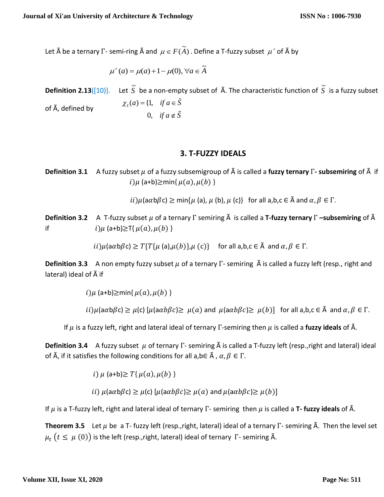Let  $\widetilde{A}$  be a ternary  $\Gamma$ - semi-ring  $\widetilde{A}$  and  $\ \mu\in F(\widetilde{A})$  . Define a T-fuzzy subset  $\ \mu^+$  of  $\widetilde{A}$  by

$$
\mu^+(a) = \mu(a) + 1 - \mu(0), \,\forall a \in \widetilde{A}
$$

**Definition 2.13**([10)]. Let *S* ~ be a non-empty subset of  $\tilde{A}$ . The characteristic function of  $\widetilde{S}$ is a fuzzy subset of Ã, defined by  $\chi_{\tilde{s}}(a) = \{1, \text{ if } a \in \tilde{S} \}$ 0, if  $a \notin \tilde{S}$ 

#### **3. T-FUZZY IDEALS**

**Definition 3.1** A fuzzy subset  $\mu$  of a fuzzy subsemigroup of  $\tilde{A}$  is called a **fuzzy ternary**  $\Gamma$ - **subsemiring** of  $\tilde{A}$  if  $(i)$  $\mu$  (a+b) $\geq$ min{ $\mu$ (a), $\mu$ (b) }

 $(i)\mu(a\alpha b\beta c) \ge \min\{\mu(a), \mu(b), \mu(c)\}\$ for all a,b,c  $\in \tilde{A}$  and  $\alpha, \beta \in \Gamma$ .

**Definition 3.2** A T-fuzzy subset  $\mu$  of a ternary  $\Gamma$  semiring  $\tilde{A}$  is called a T-fuzzy ternary  $\Gamma$  -subsemiring of  $\tilde{A}$ if  $i) \mu (a+b) \geq T\{ \mu(a), \mu(b) \}$ 

 $(i)\mu(a\alpha b\beta c) \geq T\{T\{\mu(a),\mu(b)\},\mu(c)\}$  for all a,b,c  $\in \tilde{A}$  and  $\alpha, \beta \in \Gamma$ .

**Definition 3.3** A non empty fuzzy subset  $\mu$  of a ternary  $\Gamma$ - semiring  $\tilde{A}$  is called a fuzzy left (resp., right and lateral) ideal of  $\tilde{A}$  if

 $(i)$  $\mu$  (a+b) $\geq$ min{  $\mu$ ( $a$ ),  $\mu$ ( $b$ ) }

ii) $\mu$ (a $\alpha$ b $\beta$ c)  $\geq \mu$ (c) [ $\mu$ (a $\alpha$ b $\beta$ c) $\geq \mu$ ( $\alpha$ ) and  $\mu$ (a $\alpha$ b $\beta$ c) $\geq \mu$ (b)] for all a,b,c  $\in$   $\tilde{A}$  and  $\alpha$ ,  $\beta \in \Gamma$ .

If  $\mu$  is a fuzzy left, right and lateral ideal of ternary  $\Gamma$ -semiring then  $\mu$  is called a **fuzzy ideals** of  $\tilde{A}$ .

**Definition 3.4** A fuzzy subset  $\mu$  of ternary  $\Gamma$ - semiring  $\tilde{A}$  is called a T-fuzzy left (resp., right and lateral) ideal of  $\tilde{A}$ , if it satisfies the following conditions for all a,b $\in \tilde{A}$ ,  $\alpha, \beta \in \Gamma$ .

> i)  $\mu$  (a+b) $\geq T\{ \mu(a), \mu(b) \}$ ii)  $\mu(a\alpha b\beta c) \ge \mu(c)$  [ $\mu(a\alpha b\beta c) \ge \mu(a)$  and  $\mu(a\alpha b\beta c) \ge \mu(b)$ ]

If  $\mu$  is a T-fuzzy left, right and lateral ideal of ternary  $\Gamma$ - semiring then  $\mu$  is called a **T- fuzzy ideals** of  $\tilde{A}$ .

**Theorem 3.5** Let  $\mu$  be a T- fuzzy left (resp.,right, lateral) ideal of a ternary Γ- semiring  $\tilde{A}$ . Then the level set  $\mu_t$   $(t \leq \mu(0))$  is the left (resp., right, lateral) ideal of ternary  $\Gamma$ - semiring  $\tilde{A}$ .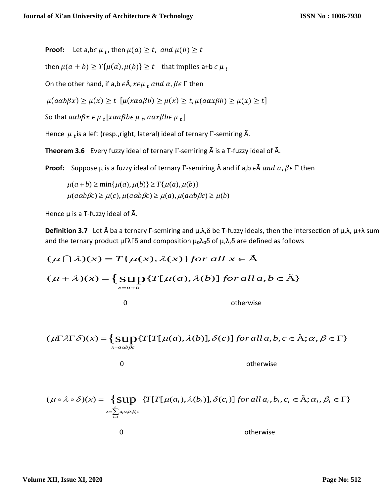**Proof:** Let a,b $\epsilon \mu_t$ , then  $\mu(a) \geq t$ , and  $\mu(b) \geq t$ 

then  $\mu(a + b) \geq T\{\mu(a), \mu(b)\} \geq t$  that implies a+b  $\epsilon \mu_t$ 

On the other hand, if a,b  $\epsilon \tilde{A}$ ,  $x \epsilon \mu_t$  and  $\alpha$ ,  $\beta \epsilon$   $\Gamma$  then

 $\mu(a\alpha b\beta x) \ge \mu(x) \ge t$   $[\mu(x\alpha a\beta b) \ge \mu(x) \ge t, \mu(a\alpha x\beta b) \ge \mu(x) \ge t]$ 

So that  $a\alpha b\beta x\ \epsilon\ \mu\ _t[ x\alpha a\beta b\epsilon\ \mu\ _t, a\alpha x\beta b\epsilon\ \mu\ _t]$ 

Hence  $\mu$  <sub>t</sub> is a left (resp.,right, lateral) ideal of ternary  $\Gamma$ -semiring  $\tilde{A}$ .

**Theorem 3.6** Every fuzzy ideal of ternary Γ-semiring Ã is a T-fuzzy ideal of Ã.

**Proof:** Suppose  $\mu$  is a fuzzy ideal of ternary  $\Gamma$ -semiring  $\tilde{A}$  and if a,b  $\epsilon \tilde{A}$  and  $\alpha$ ,  $\beta \epsilon$   $\Gamma$  then

 $\mu(a\alpha b\beta c) \ge \mu(c), \mu(a\alpha b\beta c) \ge \mu(a), \mu(a\alpha b\beta c) \ge \mu(b)$  $\mu(a+b) \ge \min\{\mu(a), \mu(b)\} \ge T\{\mu(a), \mu(b)\}\$ 

Hence  $\mu$  is a T-fuzzy ideal of  $\tilde{A}$ .

**Definition 3.7** Let à ba a ternary Γ-semiring and µ,λ,δ be T-fuzzy ideals, then the intersection of µ,λ, µ+λ sum and the ternary product  $\mu\Gamma\lambda\Gamma\delta$  and composition  $\mu_0\lambda_0\delta$  of  $\mu,\lambda,\delta$  are defined as follows

$$
(\mu \cap \lambda)(x) = T\{\mu(x), \lambda(x)\} for all x \in \tilde{A}
$$

 $(\mu + \lambda)(x) = \left\{ \sup_{x=a+b} \{ T[\mu(a), \lambda(b)] \text{ for all } a,b \in \tilde{A} \right\}$  $f(x) = \left\{ \text{sup}\left\{ T[\mu(a), \lambda(b)] \text{ for all } a, b \right\} \right\}$  $x = a + b$  $(\mu + \lambda)(x) = \{ \text{sup} \{ T[\mu(a), \lambda(\}$ 

| ٠ |   |   |
|---|---|---|
|   |   |   |
|   | i | I |

0 otherwise

 $(\mu \Gamma \lambda \Gamma \delta)(x) = \left\{ \sup_{x=aab\beta c} \{ T[T[\mu(a), \lambda(b)], \delta(c) ] \text{ for all } a,b,c \in \tilde{A}; \alpha, \beta \in \Gamma \} \right\}$  $\mu \Gamma \lambda \Gamma \delta(x) = \frac{1}{2} \text{sup} \{ T[T[\mu(a), \lambda(b)], \delta(c)]$  for all  $a, b, c \in A; \alpha, \beta$  $\alpha b\beta$  $f(x) = \int \text{sup}\{T[T[\mu(a), \lambda(b)], \delta(c)]$  for all a, b, c  $\bar{x} = a \alpha b \overline{\beta c}$ 

**0** otherwise

$$
(\mu \circ \lambda \circ \delta)(x) = \{ \sup_{x = \sum_{i=1}^n a_i a_i b_i \beta_i c} \{ T[T[\mu(a_i), \lambda(b_i)], \delta(c_i)] \text{ for all } a_i, b_i, c_i \in \tilde{A}; \alpha_i, \beta_i \in \Gamma \}
$$

0 otherwise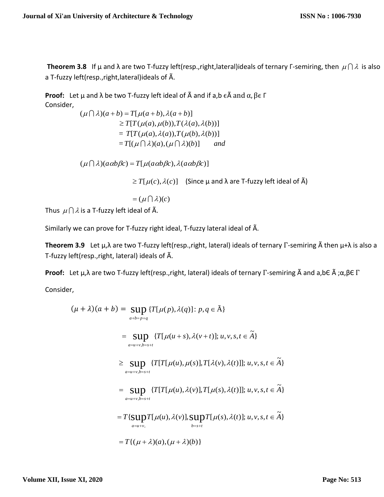**Theorem 3.8** If  $\mu$  and  $\lambda$  are two T-fuzzy left(resp.,right,lateral)ideals of ternary Γ-semiring, then  $\mu \cap \lambda$  is also a T-fuzzy left(resp.,right,lateral)ideals of Ã.

**Proof:** Let µ and λ be two T-fuzzy left ideal of Ã and if a,b ϵÃ and α, βϵ Γ Consider,

 $(\mu \cap \lambda)(a+b) = T[\mu(a+b),\lambda(a+b)]$  $\geq T[T(\mu(a), \mu(b)), T(\lambda(a), \lambda(b))]$  $= T[T(\mu(a), \lambda(a)), T(\mu(b), \lambda(b))]$  $= T[(\mu \cap \lambda)(a), (\mu \cap \lambda)(b)]$  *and* 

 $(\mu \cap \lambda)(a\alpha b\beta c) = T[\mu(a\alpha b\beta c), \lambda(a\alpha b\beta c)]$ 

 $\geq T[\mu(c),\lambda(c)]$  (Since  $\mu$  and  $\lambda$  are T-fuzzy left ideal of  $\tilde{A}$ )

 $=(\mu \cap \lambda)(c)$ 

Thus  $\,\mu\cap\lambda$  is a T-fuzzy left ideal of  $\tilde{\sf A}.$ 

Similarly we can prove for T-fuzzy right ideal, T-fuzzy lateral ideal of Ã.

**Theorem 3.9** Let µ,λ are two T-fuzzy left(resp.,right, lateral) ideals of ternary Γ-semiring Ã then µ+λ is also a T-fuzzy left(resp.,right, lateral) ideals of Ã.

**Proof:** Let µ,λ are two T-fuzzy left(resp.,right, lateral) ideals of ternary Γ-semiring Ã and a,bЄ à ;α,βЄ Γ

Consider,

$$
(\mu + \lambda)(a + b) = \sup_{a+b=p+q} \{T[\mu(p), \lambda(q)] : p, q \in \tilde{A}\}
$$
  
\n
$$
= \sup_{a=u+v, b=s+t} \{T[\mu(u+s), \lambda(v+t)]; u, v, s, t \in \tilde{A}\}
$$
  
\n
$$
\geq \sup_{a=u+v, b=s+t} \{T[T[\mu(u), \mu(s)], T[\lambda(v), \lambda(t)]]; u, v, s, t \in \tilde{A}\}
$$
  
\n
$$
= \sup_{a=u+v, b=s+t} \{T[T[\mu(u), \lambda(v)], T[\mu(s), \lambda(t)]]; u, v, s, t \in \tilde{A}\}
$$
  
\n
$$
= T\{\sup_{a=u+v, b=s+t} T[\mu(u), \lambda(v)], \sup_{b=s+t} T[\mu(s), \lambda(t)]; u, v, s, t \in \tilde{A}\}
$$
  
\n
$$
= T\{(\mu + \lambda)(a), (\mu + \lambda)(b)\}
$$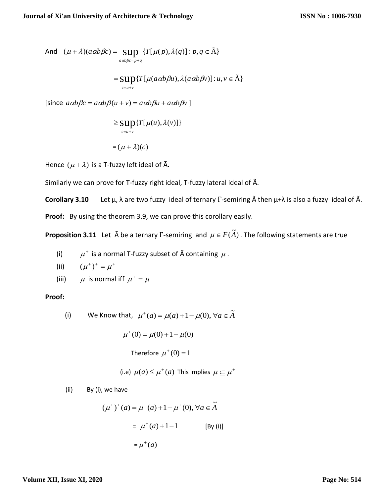And  $(\mu + \lambda)(a\alpha b\beta c) = \text{sup } \{T[\mu(p), \lambda(q)] : p, q \in \tilde{A}\}$  $a\alpha b\beta c = p+q$ 

$$
= \sup_{c=u+v} \{T[\mu(a\alpha b\beta u), \lambda(a\alpha b\beta v)] : u, v \in \tilde{A}\}
$$

 $[\text{since } a\alpha b\beta c = a\alpha b\beta(u + v) = a\alpha b\beta u + a\alpha b\beta v]$ 

$$
\geq \sup_{c=u+v} \{T[\mu(u), \lambda(v)]\}
$$

$$
= (\mu + \lambda)(c)
$$

Hence  $(\mu + \lambda)$  is a T-fuzzy left ideal of  $\tilde{A}$ .

Similarly we can prove for T-fuzzy right ideal, T-fuzzy lateral ideal of Ã.

**Corollary 3.10** Let µ, λ are two fuzzy ideal of ternary Γ-semiring Ã then µ+λ is also a fuzzy ideal of Ã. **Proof:** By using the theorem 3.9, we can prove this corollary easily.

**Proposition 3.11** Let  $\tilde{A}$  be a ternary  $\Gamma$ -semiring and  $\mu \in F(\tilde{A})$ . The following statements are true

(i)  $\mu^+$  is a normal T-fuzzy subset of  $\tilde{\mathsf{A}}$  containing  $\,\mu$  .

$$
(ii) \qquad (\mu^+)^+ = \mu^+
$$

(iii)  $\mu$  is normal iff  $\mu^+ = \mu$ 

**Proof:**

(i) We Know that,  $\mu^+(a) = \mu(a) + 1 - \mu(0), \,\forall a \in \widetilde{A}$ 

 $\mu^+(0) = \mu(0) + 1 - \mu(0)$ 

Therefore  $\mu^+(0)=1$ 

(i.e)  $\mu(a) \leq \mu^+(a)$  This implies  $\mu \subseteq \mu^+$ 

(ii) By (i), we have

$$
(\mu^+)^+(a) = \mu^+(a) + 1 - \mu^+(0), \forall a \in \widetilde{A}
$$
  
=  $\mu^+(a) + 1 - 1$  [By (i)]  
=  $\mu^+(a)$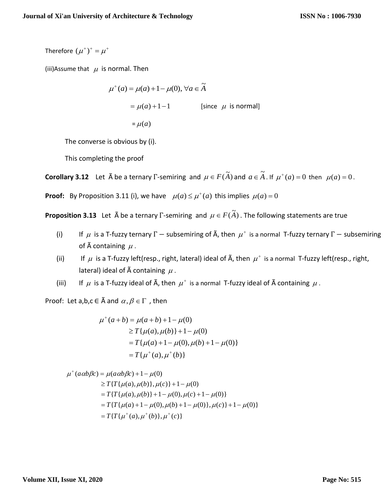Therefore  $(\mu^{\text{+}})^{\text{+}} = \mu^{\text{+}}$ 

(iii) Assume that  $\mu$  is normal. Then

 $\mu^+(a) = \mu(a) + 1 - \mu(0), \forall a \in \widetilde{A}$  $= \mu(a) + 1 - 1$  $\mu$  is normal]  $= \mu(a)$ 

The converse is obvious by (i).

This completing the proof

**Corollary 3.12** Let  $\tilde{A}$  be a ternary  $\Gamma$ -semiring and  $\mu \in F(\tilde{A})$  and  $a \in \tilde{A}$  . If  $\mu^+(a) = 0$  then  $\mu(a) = 0$ .

**Proof:** By Proposition 3.11 (i), we have  $\mu(a) \leq \mu^+(a)$  this implies  $\mu(a) = 0$ 

**Proposition 3.13** Let  $\tilde{A}$  be a ternary  $\Gamma$ -semiring and  $\mu \in F(\tilde{A})$ . The following statements are true

- $(i)$  $\mu$  is a T-fuzzy ternary  $\Gamma$   $-$  subsemiring of  $\tilde{A}$ , then  $\mu^+$  is a normal T-fuzzy ternary  $\Gamma$   $-$  subsemiring of  $\tilde{A}$  containing  $\mu$  .
- $(ii)$  $\mu$  is a T-fuzzy left(resp., right, lateral) ideal of  $\tilde{A}$ , then  $\mu^+$  is a normal T-fuzzy left(resp., right, lateral) ideal of  $\tilde{A}$  containing  $\mu$  .
- $(iii)$  $\mu$  is a T-fuzzy ideal of  $\tilde{A}$ , then  $\mu^+$  is a normal T-fuzzy ideal of  $\tilde{A}$  containing  $\mu$  .

Proof: Let a,b,c  $\in$   $\widetilde{A}$  and  $\alpha, \beta \in \Gamma$  , then

$$
\mu^+(a+b) = \mu(a+b) + 1 - \mu(0)
$$
  
\n
$$
\ge T\{\mu(a), \mu(b)\} + 1 - \mu(0)
$$
  
\n
$$
= T\{\mu(a) + 1 - \mu(0), \mu(b) + 1 - \mu(0)\}
$$
  
\n
$$
= T\{\mu^+(a), \mu^+(b)\}
$$

 $= T\{T\{\mu^+(a),\mu^+(b)\},\mu^+(c)\}\$  $= T\{T\{\mu(a)+1-\mu(0), \mu(b)+1-\mu(0)\}, \mu(c)\}+1-\mu(0)\}$  $= T\{T\{\mu(a), \mu(b)\} + 1 - \mu(0), \mu(c) + 1 - \mu(0)\}$  $\geq T\{T\{\mu(a), \mu(b)\}, \mu(c)\} + 1 - \mu(0)$  $\mu^+(a\alpha b\beta c) = \mu(a\alpha b\beta c) + 1 - \mu(0)$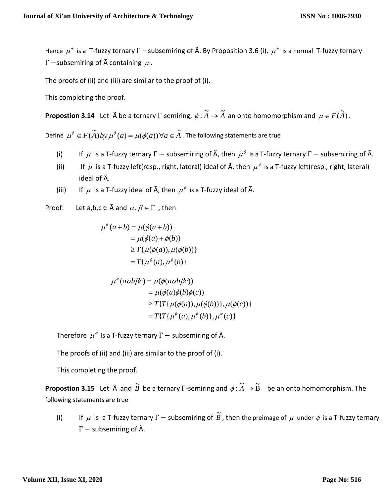Hence  $\mu^+$  is a T-fuzzy ternary  $\Gamma$  —subsemiring of  $\tilde{A}$ . By Proposition 3.6 (i),  $\mu^+$  is a normal T-fuzzy ternary  $\Gamma$  –subsemiring of  $\tilde{A}$  containing  $\mu$  .

The proofs of (ii) and (iii) are similar to the proof of (i).

This completing the proof.

**Propostion 3.14** Let  $\tilde{A}$  be a ternary  $\Gamma$ -semiring,  $\phi : \tilde{A} \to \tilde{A}$  an onto homomorphism and  $\mu \in F(\tilde{A})$ .

Define  $\mu^{\phi} \in F(\widetilde{A})$   $by$   $\mu^{\phi}(a) = \mu(\phi(a))$   $\forall a \in \widetilde{A}$  . The following statements are true

- $(i)$  $\mu$  is a T-fuzzy ternary  $\Gamma$   $-$  subsemiring of  $\tilde{A}$ , then  $\mu^{\phi}$  is a T-fuzzy ternary  $\Gamma$   $-$  subsemiring of  $\tilde{A}$ .
- $(ii)$  $\mu$  is a T-fuzzy left(resp., right, lateral) ideal of  $\tilde{A}$ , then  $\mu^\phi$  is a T-fuzzy left(resp., right, lateral) ideal of Ã.
- (iii)  $\mu$  is a T-fuzzy ideal of Ã, then  $\,\mu^\phi\,$  is a T-fuzzy ideal of Ã.

Proof: Let a,b,c  $\in$   $\tilde{A}$  and  $\alpha$ ,  $\beta \in \Gamma$  , then

$$
\mu^{\phi}(a+b) = \mu(\phi(a+b))
$$
  
=  $\mu(\phi(a) + \phi(b))$   
 $\geq T{\mu(\phi(a)), \mu(\phi(b))}$   
=  $T{\mu^{\phi}(a), \mu^{\phi}(b)}$ 

$$
\mu^{\phi}(a\alpha b\beta c) = \mu(\phi(a\alpha b\beta c))
$$
  
=  $\mu(\phi(a)\phi(b)\phi(c))$   
 $\geq T\{T\{\mu(\phi(a)), \mu(\phi(b))\}, \mu(\phi(c))\}$   
=  $T\{T\{\mu^{\phi}(a), \mu^{\phi}(b)\}, \mu^{\phi}(c)\}$ 

Therefore  $\,\mu^{\phi}\,$  is a T-fuzzy ternary  $\Gamma$   $-$  subsemiring of  $\tilde{\sf A}.$ 

The proofs of (ii) and (iii) are similar to the proof of (i).

This completing the proof.

**Propostion 3.15** Let  $\tilde{A}$  and  $\tilde{B}$  be a ternary  $\Gamma$ -semiring and  $\phi : \tilde{A} \to \tilde{B}$  be an onto homomorphism. The following statements are true

 $(i)$  $\mu$  is a T-fuzzy ternary Γ — subsemiring of  $\widetilde{B}$  , then the preimage of  $\mu$  under  $\phi$  is a T-fuzzy ternary  $\Gamma$  – subsemiring of  $\tilde{A}$ .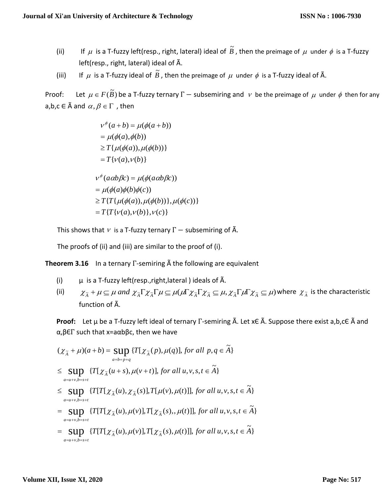- $(ii)$  $\mu$  is a T-fuzzy left(resp., right, lateral) ideal of  $\widetilde{B}$  , then the preimage of  $\mu$  under  $\phi$  is a T-fuzzy left(resp., right, lateral) ideal of Ã.
- $(iii)$  $\mu$  is a T-fuzzy ideal of  $\widetilde{B}$  , then the preimage of  $\mu$  under  $\phi$  is a T-fuzzy ideal of  $\widetilde{A}$ .

Proof:  $\mu \in F(\widetilde{B})$  be a T-fuzzy ternary  $\Gamma$   $-$  subsemiring and v be the preimage of  $\mu$  under  $\phi$  then for any a,b,c  $\in$   $\tilde{\mathsf{A}}$  and  $\alpha,\beta\in\Gamma$  , then

> $=T\{v(a), v(b)\}\$  $\geq T\{\mu(\phi(a)), \mu(\phi(b))\}$  $= \mu(\phi(a), \phi(b))$  $v^{\phi}(a+b) = \mu(\phi(a+b))$  $= T\{T\{v(a), v(b)\}, v(c)\}$  $\geq T\{T\{\mu(\phi(a)), \mu(\phi(b))\}, \mu(\phi(c))\}$  $= \mu(\phi(a)\phi(b)\phi(c))$  $v^{\phi}(a\alpha b\beta c) = \mu(\phi(a\alpha b\beta c))$

This shows that  $\nu$  is a T-fuzzy ternary  $\Gamma$  – subsemiring of  $\tilde{A}$ .

The proofs of (ii) and (iii) are similar to the proof of (i).

**Theorem 3.16** In a ternary Γ-semiring Ã the following are equivalent

- (i)  $\mu$  is a T-fuzzy left(resp., right, lateral ) ideals of  $\tilde{A}$ .
- (ii)  $\chi_{\widetilde{A}} + \mu \subseteq \mu$  and  $\chi_{\widetilde{A}}\Gamma\chi_{\widetilde{A}}\Gamma\mu \subseteq \mu(\mu\Gamma\chi_{\widetilde{A}}\Gamma\chi_{\widetilde{A}} \subseteq \mu, \chi_{\widetilde{A}}\Gamma\mu\Gamma\chi_{\widetilde{A}} \subseteq \mu)$  where  $\chi_{\widetilde{A}}$  is the characteristic function of Ã.

**Proof:** Let µ be a T-fuzzy left ideal of ternary Γ-semiring Ã. Let xЄ Ã. Suppose there exist a,b,cЄ Ã and α,βЄΓ such that x=aαbβc, then we have

$$
(\chi_{\tilde{A}} + \mu)(a+b) = \sup_{a+b=p+q} \{T[\chi_{\tilde{A}}(p), \mu(q)], \text{ for all } p, q \in \tilde{A}\}
$$
  
\n
$$
\leq \sup_{a=u+v, b=s+t} \{T[\chi_{\tilde{A}}(u+s), \mu(v+t)], \text{ for all } u, v, s, t \in \tilde{A}\}
$$
  
\n
$$
\leq \sup_{a=u+v, b=s+t} \{T[T[\chi_{\tilde{A}}(u), \chi_{\tilde{A}}(s)], T[\mu(v), \mu(t)]\}, \text{ for all } u, v, s, t \in \tilde{A}\}
$$
  
\n
$$
= \sup_{a=u+v, b=s+t} \{T[T[\chi_{\tilde{A}}(u), \mu(v)], T[\chi_{\tilde{A}}(s), \mu(t)]\}, \text{ for all } u, v, s, t \in \tilde{A}\}
$$
  
\n
$$
= \sup_{a=u+v, b=s+t} \{T[T[\chi_{\tilde{A}}(u), \mu(v)], T[\chi_{\tilde{A}}(s), \mu(t)]\}, \text{ for all } u, v, s, t \in \tilde{A}\}
$$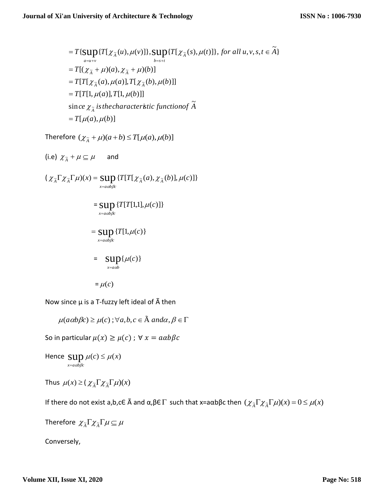$\sim$ 

$$
= T\{\sup_{a=u+v}\{T[\chi_{\tilde{A}}(u),\mu(v)]\},\sup_{b=s+t}\{T[\chi_{\tilde{A}}(s),\mu(t)]\},\text{ for all } u,v,s,t \in \tilde{A}\}
$$
\n
$$
= T[(\chi_{\tilde{A}} + \mu)(a), \chi_{\tilde{A}} + \mu)(b)]
$$
\n
$$
= T[T[\chi_{\tilde{A}}(a),\mu(a)], T[\chi_{\tilde{A}}(b),\mu(b)]]
$$
\n
$$
= T[T[1,\mu(a)], T[1,\mu(b)]]
$$
\n
$$
\text{since } \chi_{\tilde{A}} \text{ is the characteristic function of } \tilde{A}
$$
\n
$$
= T[\mu(a),\mu(b)]
$$

Therefore  $(\chi_{\tilde{A}} + \mu)(a+b) \le T[\mu(a), \mu(b)]$ 

(i.e) 
$$
\chi_{\tilde{A}} + \mu \subseteq \mu
$$
 and  
\n
$$
(\chi_{\tilde{A}} \Gamma \chi_{\tilde{A}} \Gamma \mu)(x) = \sup_{x = aab\beta c} \{T[T[\chi_{\tilde{A}}(a), \chi_{\tilde{A}}(b)], \mu(c)]\}
$$
\n
$$
= \sup_{x = aab\beta c} \{T[T[1,1], \mu(c)]\}
$$
\n
$$
= \sup_{x = aab\beta c} \{T[1, \mu(c)\}
$$
\n
$$
= \sup_{x = aab} \{\mu(c)\}
$$
\n
$$
= \mu(c)
$$

Now since  $\mu$  is a T-fuzzy left ideal of  $\tilde{A}$  then

 $\mu(a\alpha b\beta c) \ge \mu(c)$ ;  $\forall a, b, c \in \tilde{A}$  and  $\alpha, \beta \in \Gamma$ 

So in particular  $\mu(x) \geq \mu(c)$ ;  $\forall x = a\alpha b\beta c$ 

Hence  $\sup \mu(c) \leq \mu(x)$ *x*=*a ab βc*  $\mu(c) \leq \mu$  $\alpha b\beta$  $\leq$ =

Thus  $\mu(x) \geq (\chi_{\widetilde{A}} \Gamma \chi_{\widetilde{A}} \Gamma \mu)(x)$ 

If there do not exist a,b,cE  $\tilde{A}$  and α,βE $\Gamma$  such that x=aαbβc then  $(\chi_{\tilde{A}}\Gamma\chi_{\tilde{A}}\Gamma\mu)(x)=0\leq\mu(x)$ 

Therefore 
$$
\chi_{\tilde{A}} \Gamma \chi_{\tilde{A}} \Gamma \mu \subseteq \mu
$$

Conversely,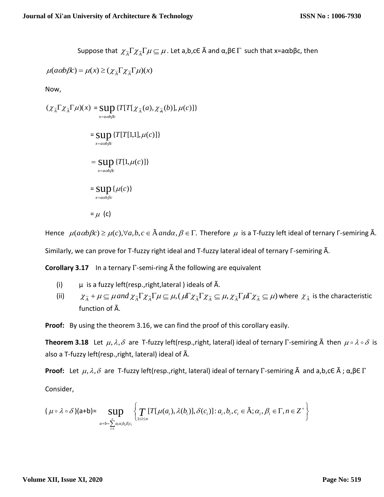Suppose that  $\chi_{\widetilde{A}}\Gamma\chi_{\widetilde{A}}\Gamma\mu$   $\subseteq$   $\mu$  . Let a,b,cE  $\widetilde{A}$  and  $\alpha,\beta\in$   $\Gamma$  such that x=a $\alpha$ b $\beta$ c, then

$$
\mu(a\alpha b\beta c) = \mu(x) \ge (\chi_{\widetilde{A}} \Gamma \chi_{\widetilde{A}} \Gamma \mu)(x)
$$

Now,

$$
(\chi_{\tilde{A}} \Gamma \chi_{\tilde{A}} \Gamma \mu)(x) = \sup_{x = a \infty \beta c} \{ T[T[\chi_{\tilde{A}}(a), \chi_{\tilde{A}}(b)], \mu(c)] \}
$$

$$
= \sup_{x = a \in \beta c} \{ T[T[1,1], \mu(c)] \}
$$

$$
= \sup \{ T[1, \mu(c)] \}
$$

$$
\sum_{x=a\alpha b\beta c} C E
$$

$$
=\sup_{x=aab\beta c}\{\mu(c)\}\
$$

 $=$   $\mu$  (c)

Hence  $\mu(a\alpha b\beta c) \ge \mu(c), \forall a,b,c \in \tilde{A}$  and $\alpha,\beta \in \Gamma$ . Therefore  $\mu$  is a T-fuzzy left ideal of ternary  $\Gamma$ -semiring  $\tilde{A}$ . Similarly, we can prove for T-fuzzy right ideal and T-fuzzy lateral ideal of ternary Г-semiring Ã.

**Corollary 3.17** In a ternary Γ-semi-ring Ã the following are equivalent

- (i)  $\mu$  is a fuzzy left(resp., right, lateral) ideals of  $\tilde{A}$ .
- (ii)  $\chi_{\widetilde{A}} + \mu \subseteq \mu$  and  $\chi_{\widetilde{A}}\Gamma\chi_{\widetilde{A}}\Gamma\mu \subseteq \mu$ ,  $(\mu\Gamma\chi_{\widetilde{A}}\Gamma\chi_{\widetilde{A}} \subseteq \mu, \chi_{\widetilde{A}}\Gamma\mu\Gamma\chi_{\widetilde{A}} \subseteq \mu)$  where  $\chi_{\widetilde{A}}$  is the characteristic function of Ã.

**Proof:** By using the theorem 3.16, we can find the proof of this corollary easily.

**Theorem 3.18** Let  $\mu$ ,  $\lambda$ ,  $\delta$  are T-fuzzy left(resp.,right, lateral) ideal of ternary Γ-semiring  $\tilde{A}$  then  $\mu \circ \lambda \circ \delta$  is also a T-fuzzy left(resp.,right, lateral) ideal of Ã.

**Proof:** Let  $\mu$ ,  $\lambda$ ,  $\delta$  are T-fuzzy left(resp.,right, lateral) ideal of ternary Γ-semiring  $\tilde{A}$  and a,b,c E $\tilde{A}$ ; α, β E $\Gamma$ Consider,

Consider,  
\n
$$
(\mu \circ \lambda \circ \delta)(a+b)=\sup_{a+b=\sum_{i=1}^n a_i \alpha_i b_i \beta_i c_i} \left\{ \prod_{1 \leq i \leq n} [T[\mu(a_i), \lambda(b_i)], \delta(c_i)] : a_i, b_i, c_i \in \tilde{A}; \alpha_i, \beta_i \in \Gamma, n \in \mathbb{Z}^+ \right\}
$$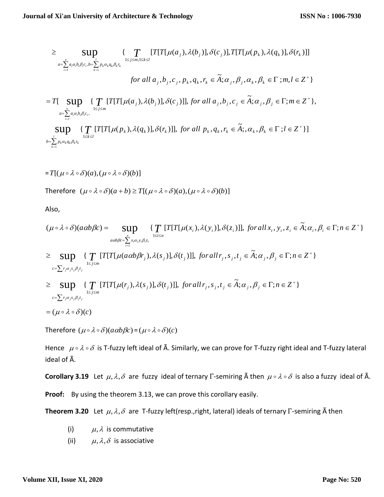$$
\geq \sup_{a=\sum_{i=1}^n a_i a_i b_i \beta_i c_i, b=\sum_{k=1}^n p_k \alpha_k q_k \beta_k r_k} \{ \prod_{1 \leq j \leq m, 1 \leq k \leq l} [T[T[\mu(a_j), \lambda(b_j)], \delta(c_j)], T[T[\mu(p_k), \lambda(q_k)], \delta(r_k)]]
$$
  
for all  $a_j, b_j, c_j, p_k, q_k, r_k \in \tilde{A}; \alpha_j, \beta_j, \alpha_k, \beta_k \in \Gamma; m, l \in Z^+ \}$ 

 ${\bf P}\{\prod_{1\leq j\leq m}[T[T[\mu(a_j),\lambda(b_j)],\delta(c_j)]],$  for all  $a_j,b_j,c_j\in\tilde{A};\alpha_j,\beta_j\in\Gamma; m\in Z^+\},$ <br>  $\{\prod_{1\leq k\leq l}[T[T[\mu(p_k),\lambda(q_k)],\delta(r_k)]],$  for all  $p_k,q_k,r_k\in\tilde{A};\alpha_k,\beta_k\in\Gamma; l\in Z^+\}]$  $for all a_j, b_j, c_j, p_k, q_k, r_k \in \tilde{A}; \alpha_j$ <br> $\big[\sup_{a=\sum_{i=1}^n a_i\alpha_i b_i\beta_i c_j} \big\{\prod_{1\leq j\leq m} [T[T[\mu(a_j),\lambda(b_j)],\delta(c_j)]], for all a_j, b_j,$ sup 1 +  $=\sum_{i=1}^{n} a_i \alpha_i b_i \beta_i c_i,$   $1\leq j \leq$  $\in \overline{A}; \alpha_i, \beta_i \in \Gamma; m \in$  $\overline{\Sigma}$ = =  $T[\sup_{a=\sum_{i}^n a_i a_j b_i \beta_i c_i, \atop a=\sum_{i}^n a_i a_j b_i \beta_i c_i, \atop b} \{T[T[T[\mu(a_j), \lambda(b_j)], \delta(c_j)]], for all  $a_j, b_j, c_j \in A; \alpha_j, \beta_j \in \Gamma; m \in \mathbb{Z}\}$$  $\sup_{n}$  {*T*  $\sum_{i=1}^{\infty} a_i a_i p_i p_i c_i$  $\mu(a_i), \lambda(b_i)], \delta(c_i)]$ , for all  $a_i, b_i, c_i \in A; \alpha_i, \beta$  $\alpha_i b_i \beta_i$ 

$$
\sup_{b=\sum_{k=1}^l p_k \alpha_k q_k \beta_k r_k} \{ \prod_{1 \le k \le l} [T[T[\mu(p_k), \lambda(q_k)], \delta(r_k)]], \text{ for all } p_k, q_k, r_k \in \tilde{A}; \alpha_k, \beta_k \in \Gamma; l \in \mathbb{Z}^+ \} ]
$$

$$
=T[(\mu\circ\lambda\circ\delta)(a),(\mu\circ\lambda\circ\delta)(b)]
$$

Also,

Therefore 
$$
(\mu \circ \lambda \circ \delta)(a+b) \geq T[(\mu \circ \lambda \circ \delta)(a), (\mu \circ \lambda \circ \delta)(b)]
$$
  
\nAlso,  
\n
$$
(\mu \circ \lambda \circ \delta)(a\alpha b\beta c) = \sup_{a\alpha b\beta c = \sum_{i=1}^{n} x_i \alpha_i y_i \beta_i z_i} \{T[T[T[\mu(x_i), \lambda(y_i)], \delta(z_i)]], for all x_i, y_i, z_i \in \tilde{A}; \alpha_i, \beta_i \in \Gamma; n \in Z^+\}
$$
\n
$$
\geq \sup_{1 \leq j \leq m} \{T[T[T[\mu(a\alpha b\beta r_j), \lambda(s_j)], \delta(t_j)]], for all r_j, s_j, t_j \in \tilde{A}; \alpha_j, \beta_j \in \Gamma; n \in Z^+\}
$$

 $\{\prod\limits_{1\leq j\leq m}[T[T[\mu(a\alpha b\beta r_j),\lambda(s_j)],\delta(t_j)]]\text{, }for\text{ all}\$ <br> $\{\prod\limits_{1\leq j\leq m}[T[T[\mu(r_j),\lambda(s_j)],\delta(t_j)]]\text{, }for\text{ all }r_j,s_j\text{,}\}$  $\widetilde{A}; \alpha_i, \beta_i \in \Gamma; n \in \mathbb{Z}^+ \}$  $T \llbracket T \llbracket T \llbracket T \llbracket \mu(a \alpha b \beta r_j), \lambda(s_j) \rrbracket, \delta(t_j) \rrbracket, for all  $r_j, s_j, t_j \in \overline{A}; \alpha_j, \beta_j \in \Gamma; n \in \mathbb{Z}$$  $c = \sum r_i \alpha_i s_i \beta_i t$ *T*  $j^{\alpha}$   $j^{\beta}$   $j^{\mu}$   $j^{\mu}$  $\mu(a\alpha b\beta r_i), \lambda(s_i)]$ ,  $\delta(t_i)]$ ], for all  $r_i$ ,  $s_i$ ,  $t_i \in A$ ;  $\alpha_i$ ,  $\beta$  $\alpha_i s_i \beta$  $\in \overline{A}; \alpha_i, \beta_i \in \Gamma; n \in$  $\overline{\Sigma}$  $\geq$  SUD {  $T$  [T[T[ $\mu(a\alpha b\beta r_i), \lambda(s_i)$ ],  $\delta(t_i)$ ]], for all  $r_i, s_i, t_i \in \tilde{A}; \alpha_i, \beta_i \in \Gamma; n \in \mathbb{Z}^+$  $\leq i \leq$ =

 $\sup_{c=\sum r_j \alpha_j s_j \beta_j t_j} \{\int\limits_{1\leq c}^{c}$ <br> $(\mu \circ \lambda \circ \delta)(c)$  $\widetilde{A}; \alpha_i, \beta_i \in \Gamma; n \in \mathbb{Z}^+ \}$  $\text{sup} \quad \{ \prod_{1 \leq j \leq m} [T[T[\mu(r_j), \lambda(s_j)], \delta(t_j)] \}, \text{for all } r_j, s_j, t_j \in \tilde{\Lambda}; \alpha_j, \beta_j \in \Gamma; n \in \mathbb{Z} \}$  $c = \sum r_i \alpha_i s_i \beta_i t$ *T*  $j^{\alpha}$   $j^{\beta}$   $j^{\mu}$   $j^{\mu}$  $\mu(r_i), \lambda(s_i)$ ],  $\delta(t_i)$ ]], for all  $r_i, s_i, t_i \in A; \alpha_i, \beta$  $\alpha_i s_i \beta$  $\in \overline{A}; \alpha_i, \beta_i \in \Gamma; n \in$  $\overline{\Sigma}$  $\geq$  Sup { T [T[T[ $\mu(r_i), \lambda(s_i)$ ],  $\delta(t_i)$ ]], for all  $r_i, s_i, t_i \in \tilde{A}; \alpha_i, \beta_i \in \Gamma; n \in \mathbb{Z}^+$  $\leq j \leq$ =

 $=(\mu \circ \lambda \circ \delta)(c)$ 

Therefore  $(\mu \circ \lambda \circ \delta)(a\alpha b\beta c) = (\mu \circ \lambda \circ \delta)(c)$ 

Hence  $\mu \circ \lambda \circ \delta$  is T-fuzzy left ideal of  $\tilde{A}$ . Similarly, we can prove for T-fuzzy right ideal and T-fuzzy lateral ideal of Ã.

**Corollary 3.19** Let  $\mu$ ,  $\lambda$ ,  $\delta$  are fuzzy ideal of ternary Γ-semiring  $\tilde{A}$  then  $\mu \circ \lambda \circ \delta$  is also a fuzzy ideal of  $\tilde{A}$ .

**Proof:** By using the theorem 3.13, we can prove this corollary easily.

**Theorem 3.20** Let  $\mu$ ,  $\lambda$ ,  $\delta$  are T-fuzzy left(resp.,right, lateral) ideals of ternary Γ-semiring à then

- (i)  $\mu$ ,  $\lambda$  is commutative
- (ii)  $\mu$ ,  $\lambda$ ,  $\delta$  is associative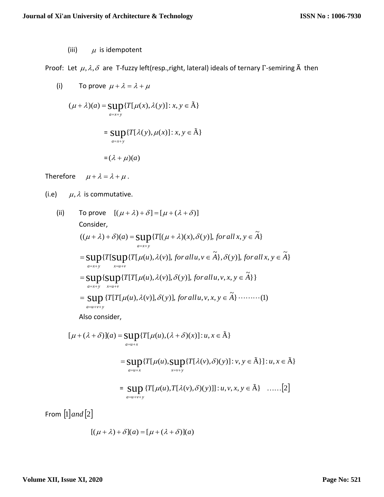(iii)  $\mu$  is idempotent

Proof: Let  $\mu$ ,  $\lambda$ ,  $\delta$  are T-fuzzy left(resp.,right, lateral) ideals of ternary  $\Gamma$ -semiring  $\tilde{A}$  then

(i) To prove 
$$
\mu + \lambda = \lambda + \mu
$$

$$
(\mu + \lambda)(a) = \sup_{a=x+y} \{ T[\mu(x), \lambda(y)] : x, y \in \tilde{A} \}
$$

$$
= \sup \{ T[\lambda(y), \mu(x)] : x, y \in \tilde{A} \}
$$

$$
a{=}x{+}y
$$

$$
= (\lambda + \mu)(a)
$$

Therefore  $\mu + \lambda = \lambda + \mu$ .

(i.e)  $\mu$ ,  $\lambda$  is commutative.

(ii) To prove 
$$
[(\mu + \lambda) + \delta] = [\mu + (\lambda + \delta)]
$$
  
Consider,  

$$
((\mu + \lambda) + \delta)(a) = \sup_{a=x+y} \{T[(\mu + \lambda)(x), \delta(y)], \text{ for all } x, y \in \tilde{A}\}
$$

$$
= \sup_{a=x+y} \{T[\sup_{x=y} \{T[\mu(u), \lambda(y)], \text{ for all } u, v \in \tilde{A}\}, \delta(y)], \text{ for all } x, y \in \tilde{A}\}
$$

$$
= \sup_{a=x+y} \{ \sup_{x=u+v} \{T[T[\mu(u), \lambda(y)], \delta(y)], \text{ for all } u, v, x, y \in \tilde{A}\} \}
$$

$$
= \sup_{a=u+v+y} \{T[T[\mu(u), \lambda(v)], \delta(y)], \text{ for all } u, v, x, y \in \tilde{A}\} \cdots \cdots (1)
$$
  
Also consider,  

$$
[\mu + (\lambda + \delta)](a) = \sup \{T[\mu(u), (\lambda + \delta)(x)] : u, x \in \tilde{A}\}
$$

$$
[\mu + (\lambda + \delta)](a) = \sup_{a=u+x} \{ I[\mu(u), (\lambda + \delta)(x)] : u, x \in A \}
$$
  

$$
= \sup_{a=u+x} \{ T[\mu(u), \sup_{x=v+y} \{ T[\lambda(v), \delta)(y)] : v, y \in \tilde{A} \} ] : u, x \in \tilde{A} \}
$$
  

$$
= \sup_{a=u+v+y} \{ T[\mu(u), T[\lambda(v), \delta)(y)] : u, v, x, y \in \tilde{A} \} \quad ......[2]
$$

From  $|1|$  *and*  $|2|$ 

$$
[(\mu + \lambda) + \delta](a) = [\mu + (\lambda + \delta)](a)
$$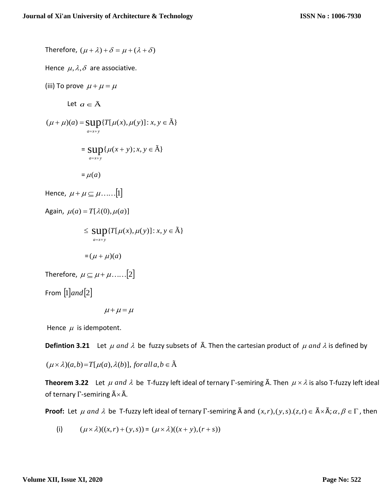Therefore,  $(\mu + \lambda) + \delta = \mu + (\lambda + \delta)$ Hence  $\mu$ ,  $\lambda$ ,  $\delta$  are associative. (iii) To prove  $\mu + \mu = \mu$ Let  $a \in \tilde{A}$  $(\mu + \mu)(a) = \sup \{ T[\mu(x), \mu(y)] : x, y \in \tilde{A} \}$  $a = x + y$ =  $\sup\{\mu(x+y); x, y \in \tilde{A}\}$  $=x+$  $(x + y); x, y$  $a = x + y$  $\mu$  $= \mu(a)$ Hence,  $\mu + \mu \subseteq \mu$ .......<sup>[1]</sup> Again,  $\mu(a) = T[\lambda(0), \mu(a)]$  $\leq$  SUP{ $T[\mu(x), \mu(y)]$ :  $x, y \in \tilde{A}$ }  $=x+$  $T[\mu(x), \mu(y)]$ : x, y  $a = x + y$  $\mu(x), \mu$  $=(\mu + \mu)(a)$ Therefore,  $\mu \subseteq \mu + \mu$ .......[2] From  $|1|$  *and*  $|2|$  $\mu + \mu = \mu$ 

Hence  $\mu$  is idempotent.

**Defintion 3.21** Let  $\mu$  and  $\lambda$  be fuzzy subsets of  $\tilde{A}$ . Then the cartesian product of  $\mu$  and  $\lambda$  is defined by

 $(\mu \times \lambda)(a,b)=T[\mu(a),\lambda(b)],$  *for all*  $a,b \in \tilde{A}$ 

**Theorem 3.22** Let  $\mu$  and  $\lambda$  be T-fuzzy left ideal of ternary Γ-semiring Ã. Then  $\mu \times \lambda$  is also T-fuzzy left ideal of ternary Γ-semiring  $\mathsf{\tilde{A}}\times\mathsf{\tilde{A}}.$ 

**Proof:** Let  $\mu$  and  $\lambda$  be T-fuzzy left ideal of ternary  $\Gamma$ -semiring  $\tilde{A}$  and  $(x,r),(y,s).(z,t) \in \tilde{A} \times \tilde{A}$ ;  $\alpha, \beta \in \Gamma$  , then

(i) 
$$
(\mu \times \lambda)((x, r) + (y, s)) = (\mu \times \lambda)((x + y), (r + s))
$$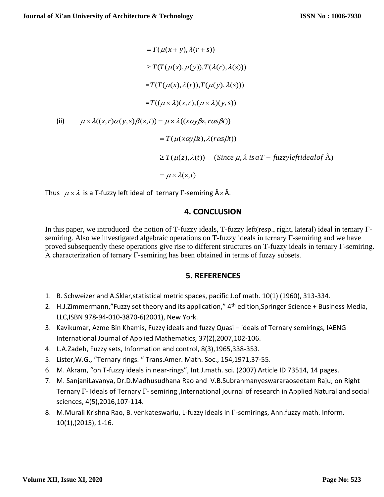$= T(\mu(x + y), \lambda(r + s))$  $\geq T(T(\mu(x), \mu(y)), T(\lambda(r), \lambda(s)))$  $= T(T(\mu(x),\lambda(r)),T(\mu(y),\lambda(s)))$  $=T((\mu \times \lambda)(x,r),(\mu \times \lambda)(y,s))$ (ii)  $\mu \times \lambda((x, r)\alpha(y, s)\beta(z, t)) = \mu \times \lambda((x\alpha y\beta z, r\alpha s\beta t))$  $= T(\mu(x\alpha y\beta z), \lambda(r\alpha s\beta t))$  $\geq T(\mu(z),\lambda(t))$  (*Since*  $\mu, \lambda$  *is*  $aT$  – *fuzzyleftidealof*  $\tilde{A}$ )  $= \mu \times \lambda(z,t)$ 

Thus  $\mu \times \lambda$  is a T-fuzzy left ideal of ternary Γ-semiring  $\tilde{A} \times \tilde{A}$ .

### **4. CONCLUSION**

In this paper, we introduced the notion of T-fuzzy ideals, T-fuzzy left(resp., right, lateral) ideal in ternary Гsemiring. Also we investigated algebraic operations on T-fuzzy ideals in ternary Г-semiring and we have proved subsequently these operations give rise to different structures on T-fuzzy ideals in ternary Г-semiring. A characterization of ternary Г-semiring has been obtained in terms of fuzzy subsets.

## **5. REFERENCES**

- 1. B. Schweizer and A.Sklar,statistical metric spaces, pacific J.of math. 10(1) (1960), 313-334.
- 2. H.J.Zimmermann,"Fuzzy set theory and its application," 4<sup>th</sup> edition, Springer Science + Business Media, LLC,ISBN 978-94-010-3870-6(2001), New York.
- 3. Kavikumar, Azme Bin Khamis, Fuzzy ideals and fuzzy Quasi ideals of Ternary semirings, IAENG International Journal of Applied Mathematics, 37(2),2007,102-106.
- 4. L.A.Zadeh, Fuzzy sets, Information and control, 8(3),1965,338-353.
- 5. Lister,W.G., "Ternary rings. " Trans.Amer. Math. Soc., 154,1971,37-55.
- 6. M. Akram, "on T-fuzzy ideals in near-rings", Int.J.math. sci. (2007) Article ID 73514, 14 pages.
- 7. M. SanjaniLavanya, Dr.D.Madhusudhana Rao and V.B.Subrahmanyeswararaoseetam Raju; on Right Ternary Γ- Ideals of Ternary Γ- semiring ,International journal of research in Applied Natural and social sciences, 4(5),2016,107-114.
- 8. M.Murali Krishna Rao, B. venkateswarlu, L-fuzzy ideals in Γ-semirings, Ann.fuzzy math. Inform. 10(1),(2015), 1-16.